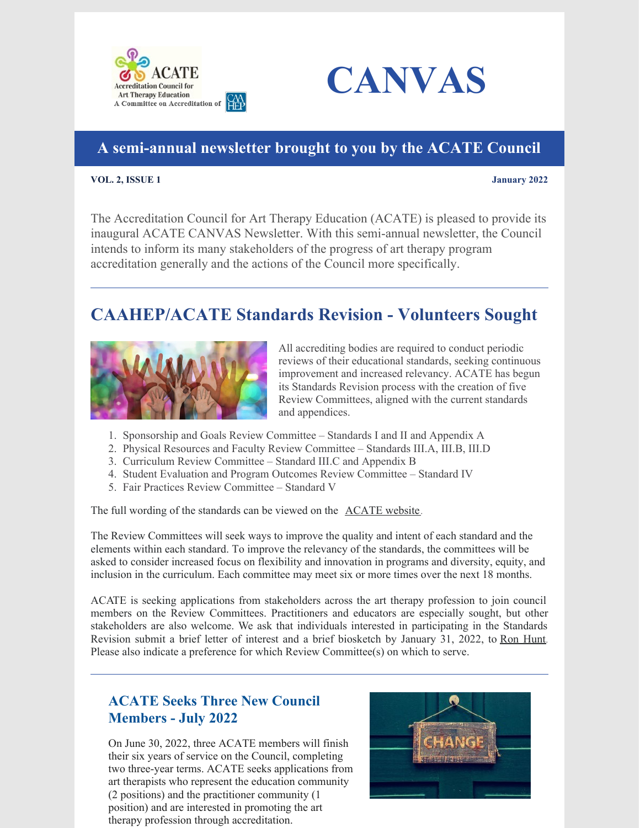



#### **A semi-annual newsletter brought to you by the ACATE Council**

#### **VOL. 2, ISSUE 1 January 2022**

The Accreditation Council for Art Therapy Education (ACATE) is pleased to provide its inaugural ACATE CANVAS Newsletter. With this semi-annual newsletter, the Council intends to inform its many stakeholders of the progress of art therapy program accreditation generally and the actions of the Council more specifically.

## **CAAHEP/ACATE Standards Revision - Volunteers Sought**



All accrediting bodies are required to conduct periodic reviews of their educational standards, seeking continuous improvement and increased relevancy. ACATE has begun its Standards Revision process with the creation of five Review Committees, aligned with the current standards and appendices.

- 1. Sponsorship and Goals Review Committee Standards I and II and Appendix A
- 2. Physical Resources and Faculty Review Committee Standards III.A, III.B, III.D
- 3. Curriculum Review Committee Standard III.C and Appendix B
- 4. Student Evaluation and Program Outcomes Review Committee Standard IV
- 5. Fair Practices Review Committee Standard V

The full wording of the standards can be viewed on the **[ACATE](https://www.caahep.org/ACATE.aspx)** website.

The Review Committees will seek ways to improve the quality and intent of each standard and the elements within each standard. To improve the relevancy of the standards, the committees will be asked to consider increased focus on flexibility and innovation in programs and diversity, equity, and inclusion in the curriculum. Each committee may meet six or more times over the next 18 months.

ACATE is seeking applications from stakeholders across the art therapy profession to join council members on the Review Committees. Practitioners and educators are especially sought, but other stakeholders are also welcome. We ask that individuals interested in participating in the Standards Revision submit a brief letter of interest and a brief biosketch by January 31, 2022, to Ron [Hunt](mailto:acatecouncilchair@gmail.com). Please also indicate a preference for which Review Committee(s) on which to serve.

#### **ACATE Seeks Three New Council Members - July 2022**

On June 30, 2022, three ACATE members will finish their six years of service on the Council, completing two three-year terms. ACATE seeks applications from art therapists who represent the education community (2 positions) and the practitioner community (1 position) and are interested in promoting the art therapy profession through accreditation.

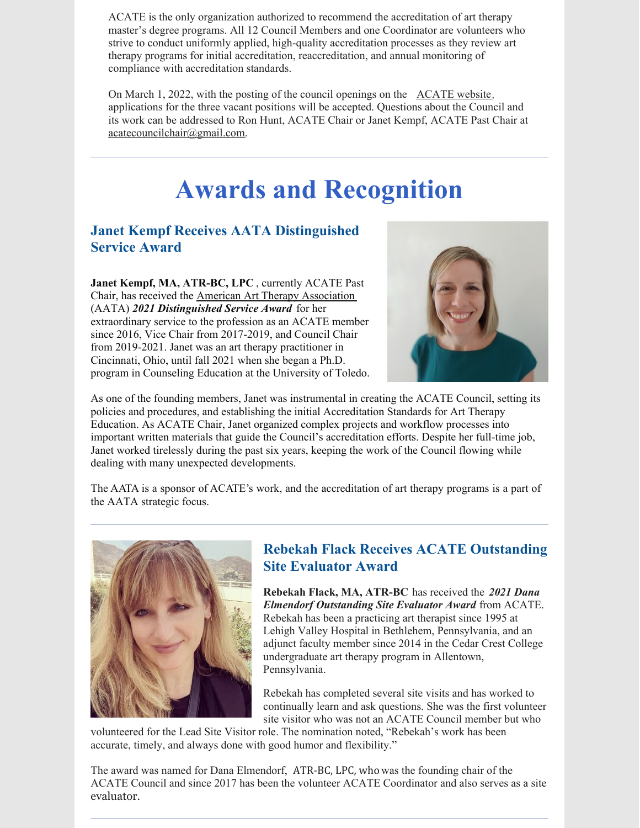ACATE is the only organization authorized to recommend the accreditation of art therapy master's degree programs. All 12 Council Members and one Coordinator are volunteers who strive to conduct uniformly applied, high-quality accreditation processes as they review art therapy programs for initial accreditation, reaccreditation, and annual monitoring of compliance with accreditation standards.

On March 1, 2022, with the posting of the council openings on the [ACATE](https://www.caahep.org/ACATE.aspx) website, applications for the three vacant positions will be accepted. Questions about the Council and its work can be addressed to Ron Hunt, ACATE Chair or Janet Kempf, ACATE Past Chair at [acatecouncilchair@gmail.com.](mailto:acatecouncilchair@gmail.com)

# **Awards and Recognition**

#### **Janet Kempf Receives AATA Distinguished Service Award**

**Janet Kempf, MA, ATR-BC, LPC** , currently ACATE Past Chair, has received the American Art Therapy [Association](https://arttherapy.org/) (AATA) *2021 Distinguished Service Award* for her extraordinary service to the profession as an ACATE member since 2016, Vice Chair from 2017-2019, and Council Chair from 2019-2021. Janet was an art therapy practitioner in Cincinnati, Ohio, until fall 2021 when she began a Ph.D. program in Counseling Education at the University of Toledo.



As one of the founding members, Janet was instrumental in creating the ACATE Council, setting its policies and procedures, and establishing the initial Accreditation Standards for Art Therapy Education. As ACATE Chair, Janet organized complex projects and workflow processes into important written materials that guide the Council's accreditation efforts. Despite her full-time job, Janet worked tirelessly during the past six years, keeping the work of the Council flowing while dealing with many unexpected developments.

The AATA is a sponsor of ACATE's work, and the accreditation of art therapy programs is a part of the AATA strategic focus.



#### **Rebekah Flack Receives ACATE Outstanding Site Evaluator Award**

**Rebekah Flack, MA, ATR-BC** has received the *2021 Dana Elmendorf Outstanding Site Evaluator Award* from ACATE. Rebekah has been a practicing art therapist since 1995 at Lehigh Valley Hospital in Bethlehem, Pennsylvania, and an adjunct faculty member since 2014 in the Cedar Crest College undergraduate art therapy program in Allentown, Pennsylvania.

Rebekah has completed several site visits and has worked to continually learn and ask questions. She was the first volunteer site visitor who was not an ACATE Council member but who

volunteered for the Lead Site Visitor role. The nomination noted, "Rebekah's work has been accurate, timely, and always done with good humor and flexibility."

The award was named for Dana Elmendorf, ATR-BC, LPC, who was the founding chair of the ACATE Council and since 2017 has been the volunteer ACATE Coordinator and also serves as a site evaluator.